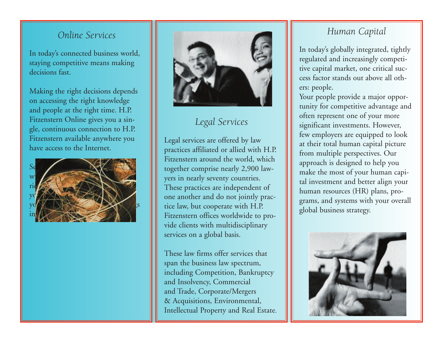### *Online Services*

In today's connected business world, staying competitive means making decisions fast.

Making the right decisions depends on accessing the right knowledge and people at the right time. H.P. Fitzenstern Online gives you a single, continuous connection to H.P. Fitzenstern available anywhere you have access to the Internet.





## *Legal Services*

Legal services are offered by law practices affiliated or allied with H.P. Fitzenstern around the world, which together comprise nearly 2,900 lawyers in nearly seventy countries. These practices are independent of one another and do not jointly practice law, but cooperate with H.P. Fitzenstern offices worldwide to provide clients with multidisciplinary services on a global basis.

These law firms offer services that span the business law spectrum, including Competition, Bankruptcy and Insolvency, Commercial and Trade, Corporate/Mergers & Acquisitions, Environmental, Intellectual Property and Real Estate.

## *Human Capital*

In today's globally integrated, tightly regulated and increasingly competitive capital market, one critical success factor stands out above all others: people.

Your people provide a major opportunity for competitive advantage and often represent one of your more significant investments. However, few employers are equipped to look at their total human capital picture from multiple perspectives. Our approach is designed to help you make the most of your human capital investment and better align your human resources (HR) plans, programs, and systems with your overall global business strategy.